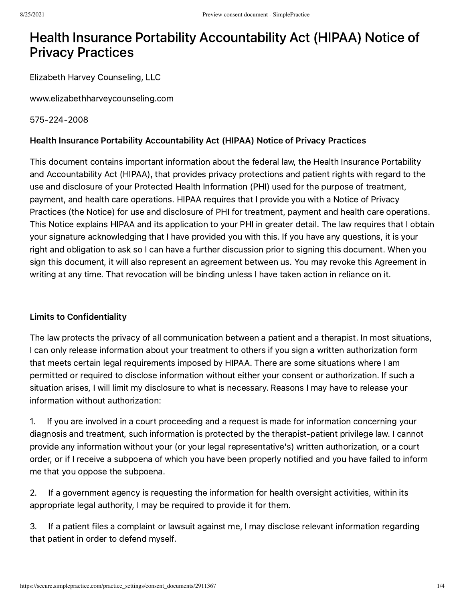# Health Insurance Portability Accountability Act (HIPAA) Notice of Privacy Practices

Elizabeth Harvey Counseling, LLC

www.elizabethharveycounseling.com

## 575-224-2008

## Health Insurance Portability Accountability Act (HIPAA) Notice of Privacy Practices

This document contains important information about the federal law, the Health Insurance Portability and Accountability Act (HIPAA), that provides privacy protections and patient rights with regard to the use and disclosure of your Protected Health Information (PHI) used for the purpose of treatment, payment, and health care operations. HIPAA requires that I provide you with a Notice of Privacy Practices (the Notice) for use and disclosure of PHI for treatment, payment and health care operations. This Notice explains HIPAA and its application to your PHI in greater detail. The law requires that I obtain your signature acknowledging that I have provided you with this. If you have any questions, it is your right and obligation to ask so I can have a further discussion prior to signing this document. When you sign this document, it will also represent an agreement between us. You may revoke this Agreement in writing at any time. That revocation will be binding unless I have taken action in reliance on it.

## Limits to Confidentiality

The law protects the privacy of all communication between a patient and a therapist. In most situations, I can only release information about your treatment to others if you sign a written authorization form that meets certain legal requirements imposed by HIPAA. There are some situations where I am permitted or required to disclose information without either your consent or authorization. If such a situation arises, I will limit my disclosure to what is necessary. Reasons I may have to release your information without authorization:

1. If you are involved in a court proceeding and a request is made for information concerning your diagnosis and treatment, such information is protected by the therapist-patient privilege law. I cannot provide any information without your (or your legal representative's) written authorization, or a court order, or if I receive a subpoena of which you have been properly notified and you have failed to inform me that you oppose the subpoena.

2. If a government agency is requesting the information for health oversight activities, within its appropriate legal authority, I may be required to provide it for them.

3. If a patient files a complaint or lawsuit against me, I may disclose relevant information regarding that patient in order to defend myself.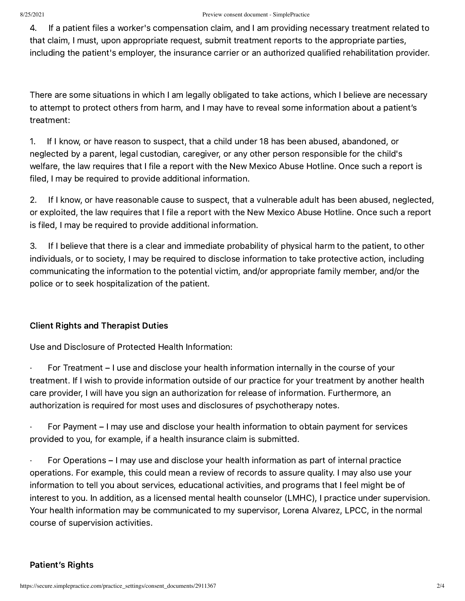4. If a patient files a worker's compensation claim, and I am providing necessary treatment related to that claim, I must, upon appropriate request, submit treatment reports to the appropriate parties, including the patient's employer, the insurance carrier or an authorized qualified rehabilitation provider.

There are some situations in which I am legally obligated to take actions, which I believe are necessary to attempt to protect others from harm, and I may have to reveal some information about a patient's treatment:

1. If I know, or have reason to suspect, that a child under 18 has been abused, abandoned, or neglected by a parent, legal custodian, caregiver, or any other person responsible for the child's welfare, the law requires that I file a report with the New Mexico Abuse Hotline. Once such a report is filed, I may be required to provide additional information.

2. If I know, or have reasonable cause to suspect, that a vulnerable adult has been abused, neglected, or exploited, the law requires that I file a report with the New Mexico Abuse Hotline. Once such a report is filed, I may be required to provide additional information.

3. If I believe that there is a clear and immediate probability of physical harm to the patient, to other individuals, or to society, I may be required to disclose information to take protective action, including communicating the information to the potential victim, and/or appropriate family member, and/or the police or to seek hospitalization of the patient.

# Client Rights and Therapist Duties

Use and Disclosure of Protected Health Information:

· For Treatment – I use and disclose your health information internally in the course of your treatment. If I wish to provide information outside of our practice for your treatment by another health care provider, I will have you sign an authorization for release of information. Furthermore, an authorization is required for most uses and disclosures of psychotherapy notes.

For Payment – I may use and disclose your health information to obtain payment for services provided to you, for example, if a health insurance claim is submitted.

· For Operations – I may use and disclose your health information as part of internal practice operations. For example, this could mean a review of records to assure quality. I may also use your information to tell you about services, educational activities, and programs that I feel might be of interest to you. In addition, as a licensed mental health counselor (LMHC), I practice under supervision. Your health information may be communicated to my supervisor, Lorena Alvarez, LPCC, in the normal course of supervision activities.

# Patient's Rights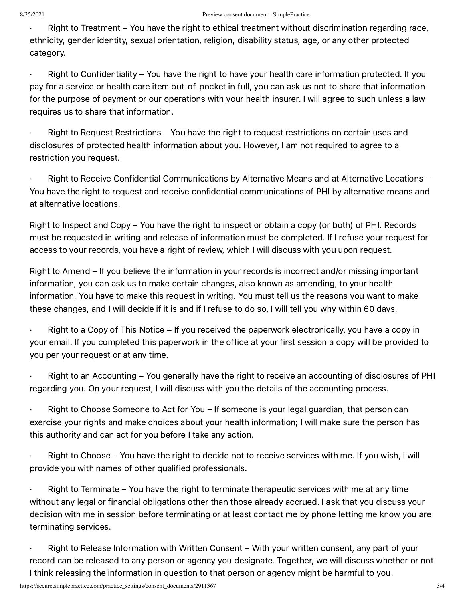· Right to Treatment – You have the right to ethical treatment without discrimination regarding race, ethnicity, gender identity, sexual orientation, religion, disability status, age, or any other protected category.

 $\cdot$  Right to Confidentiality – You have the right to have your health care information protected. If you pay for a service or health care item out-of-pocket in full, you can ask us not to share that information for the purpose of payment or our operations with your health insurer. I will agree to such unless a law requires us to share that information.

Right to Request Restrictions – You have the right to request restrictions on certain uses and disclosures of protected health information about you. However, I am not required to agree to a restriction you request.

Right to Receive Confidential Communications by Alternative Means and at Alternative Locations – You have the right to request and receive confidential communications of PHI by alternative means and at alternative locations.

Right to Inspect and Copy – You have the right to inspect or obtain a copy (or both) of PHI. Records must be requested in writing and release of information must be completed. If I refuse your request for access to your records, you have a right of review, which I will discuss with you upon request.

Right to Amend – If you believe the information in your records is incorrect and/or missing important information, you can ask us to make certain changes, also known as amending, to your health information. You have to make this request in writing. You must tell us the reasons you want to make these changes, and I will decide if it is and if I refuse to do so, I will tell you why within 60 days.

Right to a Copy of This Notice – If you received the paperwork electronically, you have a copy in your email. If you completed this paperwork in the office at your first session a copy will be provided to you per your request or at any time.

Right to an Accounting – You generally have the right to receive an accounting of disclosures of PHI regarding you. On your request, I will discuss with you the details of the accounting process.

Right to Choose Someone to Act for You – If someone is your legal guardian, that person can exercise your rights and make choices about your health information; I will make sure the person has this authority and can act for you before I take any action.

Right to Choose – You have the right to decide not to receive services with me. If you wish, I will provide you with names of other qualified professionals.

Right to Terminate – You have the right to terminate therapeutic services with me at any time without any legal or financial obligations other than those already accrued. I ask that you discuss your decision with me in session before terminating or at least contact me by phone letting me know you are terminating services.

· Right to Release Information with Written Consent – With your written consent, any part of your record can be released to any person or agency you designate. Together, we will discuss whether or not I think releasing the information in question to that person or agency might be harmful to you.